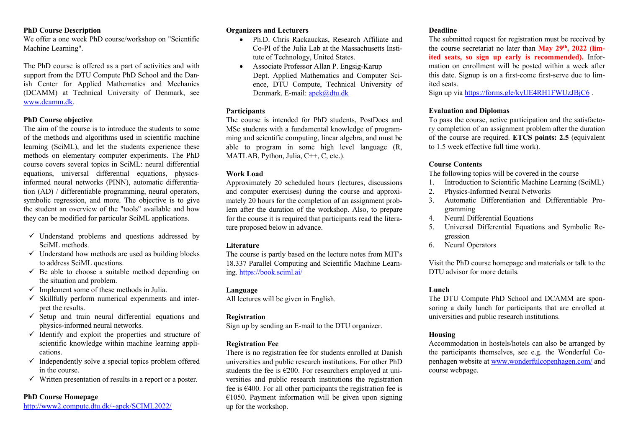#### **PhD Course Description**

We offer a one week PhD course/workshop on "Scientific Machine Learning".

The PhD course is offered as a part of activities and with support from the DTU Compute PhD School and the Danish Center for Applied Mathematics and Mechanics (DCAMM) at Technical University of Denmark, see www.dcamm.dk.

### **PhD Course objective**

The aim of the course is to introduce the students to some of the methods and algorithms used in scientific machine learning (SciML), and let the students experience these methods on elementary computer experiments. The PhD course covers several topics in SciML: neural differential equations, universal differential equations, physicsinformed neural networks (PINN), automatic differentiation (AD) / differentiable programming, neural operators, symbolic regression, and more. The objective is to give the student an overview of the "tools" available and how they can be modified for particular SciML applications.

- $\checkmark$  Understand problems and questions addressed by SciML methods.
- $\checkmark$  Understand how methods are used as building blocks to address SciML questions.
- $\checkmark$  Be able to choose a suitable method depending on the situation and problem.
- $\checkmark$  Implement some of these methods in Julia.
- $\checkmark$  Skillfully perform numerical experiments and interpret the results.
- $\checkmark$  Setup and train neural differential equations and physics-informed neural networks.
- $\checkmark$  Identify and exploit the properties and structure of scientific knowledge within machine learning applications.
- $\checkmark$  Independently solve a special topics problem offered in the course.
- $\checkmark$  Written presentation of results in a report or a poster.

## **PhD Course Homepage**

http://www2.compute.dtu.dk/~apek/SCIML2022/

# **Organizers and Lecturers**

- Ph.D. Chris Rackauckas, Research Affiliate and Co-PI of the Julia Lab at the Massachusetts Institute of Technology, United States.
- Associate Professor Allan P. Engsig-Karup Dept. Applied Mathematics and Computer Science, DTU Compute, Technical University of Denmark. E-mail: apek@dtu.dk

# **Participants**

The course is intended for PhD students, PostDocs and MSc students with a fundamental knowledge of programming and scientific computing, linear algebra, and must be able to program in some high level language (R, MATLAB, Python, Julia, C++, C, etc.).

### **Work Load**

Approximately 20 scheduled hours (lectures, discussions and computer exercises) during the course and approximately 20 hours for the completion of an assignment problem after the duration of the workshop. Also, to prepare for the course it is required that participants read the literature proposed below in advance.

### **Literature**

The course is partly based on the lecture notes from MIT's 18.337 Parallel Computing and Scientific Machine Learning. https://book.sciml.ai/

### **Language**

All lectures will be given in English.

## **Registration**

Sign up by sending an E-mail to the DTU organizer.

### **Registration Fee**

There is no registration fee for students enrolled at Danish universities and public research institutions. For other PhD students the fee is  $\epsilon$ 200. For researchers employed at universities and public research institutions the registration fee is  $\epsilon$ 400. For all other participants the registration fee is €1050. Payment information will be given upon signing up for the workshop.

### **Deadline**

The submitted request for registration must be received by the course secretariat no later than **May 29th, 2022 (limited seats, so sign up early is recommended).** Information on enrollment will be posted within a week after this date. Signup is on a first-come first-serve due to limited seats.

Sign up via https://forms.gle/kyUE4RH1FWUzJBjC6 .

### **Evaluation and Diplomas**

To pass the course, active participation and the satisfactory completion of an assignment problem after the duration of the course are required. **ETCS points: 2.5** (equivalent to 1.5 week effective full time work).

## **Course Contents**

The following topics will be covered in the course

- 1. Introduction to Scientific Machine Learning (SciML)
- 2. Physics-Informed Neural Networks
- 3. Automatic Differentiation and Differentiable Programming
- 4. Neural Differential Equations
- 5. Universal Differential Equations and Symbolic Regression
- 6. Neural Operators

Visit the PhD course homepage and materials or talk to the DTU advisor for more details.

## **Lunch**

The DTU Compute PhD School and DCAMM are sponsoring a daily lunch for participants that are enrolled at universities and public research institutions.

### **Housing**

Accommodation in hostels/hotels can also be arranged by the participants themselves, see e.g. the Wonderful Copenhagen website at www.wonderfulcopenhagen.com/ and course webpage.